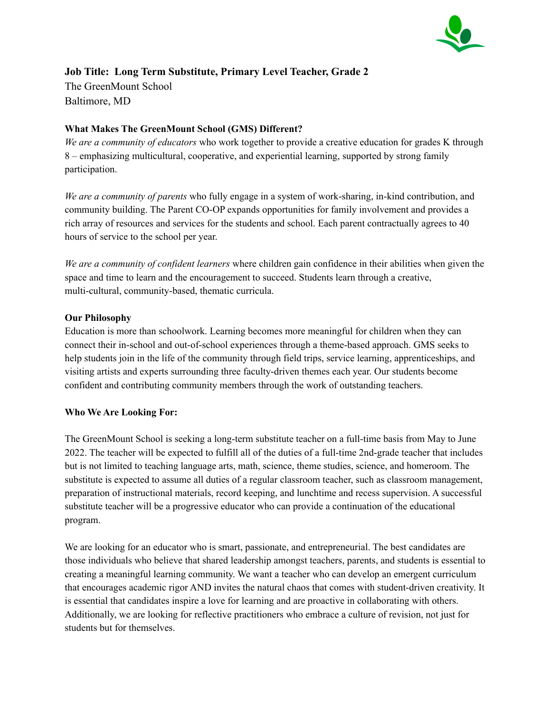

# **Job Title: Long Term Substitute, Primary Level Teacher, Grade 2** The GreenMount School Baltimore, MD

# **What Makes The GreenMount School (GMS) Different?**

*We are a community of educators* who work together to provide a creative education for grades K through 8 – emphasizing multicultural, cooperative, and experiential learning, supported by strong family participation.

*We are a community of parents* who fully engage in a system of work-sharing, in-kind contribution, and community building. The Parent CO-OP expands opportunities for family involvement and provides a rich array of resources and services for the students and school. Each parent contractually agrees to 40 hours of service to the school per year.

*We are a community of confident learners* where children gain confidence in their abilities when given the space and time to learn and the encouragement to succeed. Students learn through a creative, multi-cultural, community-based, thematic curricula.

## **Our Philosophy**

Education is more than schoolwork. Learning becomes more meaningful for children when they can connect their in-school and out-of-school experiences through a theme-based approach. GMS seeks to help students join in the life of the community through field trips, service learning, apprenticeships, and visiting artists and experts surrounding three faculty-driven themes each year. Our students become confident and contributing community members through the work of outstanding teachers.

## **Who We Are Looking For:**

The GreenMount School is seeking a long-term substitute teacher on a full-time basis from May to June 2022. The teacher will be expected to fulfill all of the duties of a full-time 2nd-grade teacher that includes but is not limited to teaching language arts, math, science, theme studies, science, and homeroom. The substitute is expected to assume all duties of a regular classroom teacher, such as classroom management, preparation of instructional materials, record keeping, and lunchtime and recess supervision. A successful substitute teacher will be a progressive educator who can provide a continuation of the educational program.

We are looking for an educator who is smart, passionate, and entrepreneurial. The best candidates are those individuals who believe that shared leadership amongst teachers, parents, and students is essential to creating a meaningful learning community. We want a teacher who can develop an emergent curriculum that encourages academic rigor AND invites the natural chaos that comes with student-driven creativity. It is essential that candidates inspire a love for learning and are proactive in collaborating with others. Additionally, we are looking for reflective practitioners who embrace a culture of revision, not just for students but for themselves.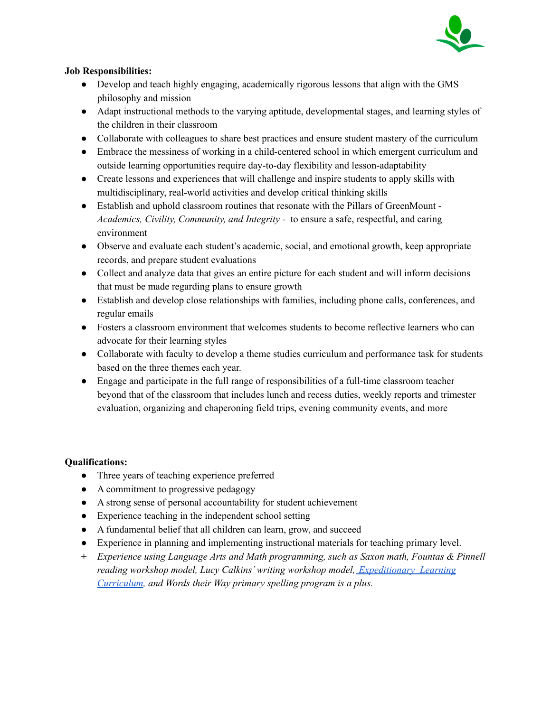

# **Job Responsibilities:**

- Develop and teach highly engaging, academically rigorous lessons that align with the GMS philosophy and mission
- Adapt instructional methods to the varying aptitude, developmental stages, and learning styles of the children in their classroom
- Collaborate with colleagues to share best practices and ensure student mastery of the curriculum
- Embrace the messiness of working in a child-centered school in which emergent curriculum and outside learning opportunities require day-to-day flexibility and lesson-adaptability
- Create lessons and experiences that will challenge and inspire students to apply skills with multidisciplinary, real-world activities and develop critical thinking skills
- Establish and uphold classroom routines that resonate with the Pillars of GreenMount -*Academics, Civility, Community, and Integrity -* to ensure a safe, respectful, and caring environment
- Observe and evaluate each student's academic, social, and emotional growth, keep appropriate records, and prepare student evaluations
- Collect and analyze data that gives an entire picture for each student and will inform decisions that must be made regarding plans to ensure growth
- Establish and develop close relationships with families, including phone calls, conferences, and regular emails
- Fosters a classroom environment that welcomes students to become reflective learners who can advocate for their learning styles
- Collaborate with faculty to develop a theme studies curriculum and performance task for students based on the three themes each year.
- Engage and participate in the full range of responsibilities of a full-time classroom teacher beyond that of the classroom that includes lunch and recess duties, weekly reports and trimester evaluation, organizing and chaperoning field trips, evening community events, and more

## **Qualifications:**

- Three years of teaching experience preferred
- A commitment to progressive pedagogy
- A strong sense of personal accountability for student achievement
- Experience teaching in the independent school setting
- A fundamental belief that all children can learn, grow, and succeed
- Experience in planning and implementing instructional materials for teaching primary level.
- *+ Experience using Language Arts and Math programming, such as Saxon math, Fountas & Pinnell reading workshop model, Lucy Calkins'writing workshop model, [Expeditionary](https://eleducation.org/) Learning [Curriculum](https://eleducation.org/), and Words their Way primary spelling program is a plus.*